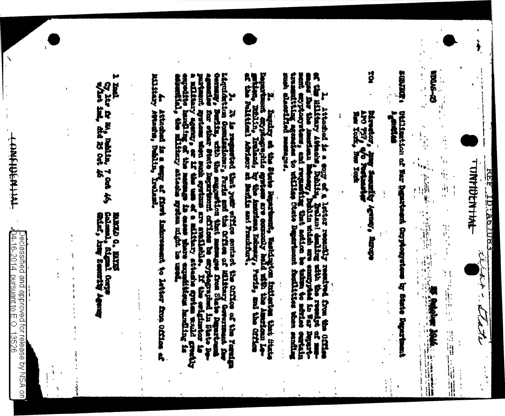TUNTIDENTINE **EBOL9VIOI HEA** the dit - hate

 $\lambda$ 

**ERICA** ġ  $\begin{bmatrix} \mathbf{1} & & & \\ & \mathbf{0} & & \\ & & \mathbf{0} & \\ & & \mathbf{0} & \\ & & \mathbf{0} & \\ & & & \mathbf{0} \end{bmatrix}$ (1) 医葡萄牙 经通货单位 i. á) **特定的期望中央 地震者 女子 医生理学** 

の行い時代 Dellination of War Rentrance Cappeters and the Shate De **Hamp** 

g birector, ing<br>APO 777, e/o 7<br>Hes York, hes Xati **Sepulty Agenty**, Birche

af the Hildary Asheda a cony of a letter reaming resulted from the Office<br>send the Hildary Asheda , Dallin, Delini denline sith the reading of me-<br>send the first the inner proposer of the control of the requirement of the

B. Santopa et the State Newtown, Eastwarter intlustes that their State

ligation Configured that your office order the Gifthe of the Participan Content of the Content of the Particular Content of the Content of the Content of the Content of the Content of the Content of the Content of the Cont

A. Athadred is a emp of first induces<br>and hence a reality lealing induced and interest to letter from Office af

r<br>K

Cy lin fa m, mailin, 7 cm 46,<br>w/int ind. did 25 cm 46

MAGD d. ENYS<br>Colomb, Signal Corps<br>Gilaf, Aray Seaunity **State Search Agency** 

 $\bar{\mathrm{i}}$ ý

ŧ

Declassified and approved for release by NSA on`<br>{04-16-2014\_pursuant to E.O. 13526 **Dursuant to E** 

**THE MENTING**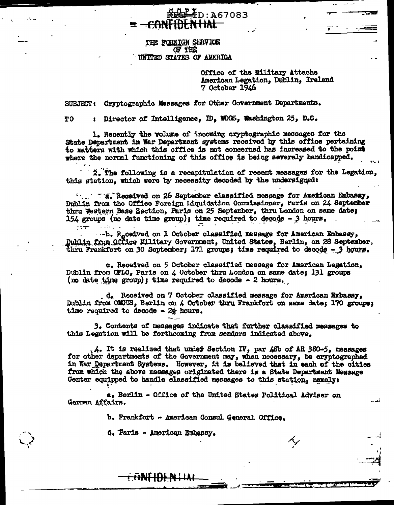THE FOREIGN SERVICE **OF THE** UNITED STATES OF AMERICA

e <del>-con</del>

**KHAP ID: A67083** 

<del>N HAL -</del>

Office of the Military Attache American Legation, Dublin, Ireland 7 October 1946

SUBJECT: Cryptographic Messages for Other Government Departments.

: Director of Intelligence. ID. WDGS, Washington 25, D.C. TO<sup>1</sup>

1. Recently the volume of incoming cryptographic messages for the State Department in War Department systems received by this office pertaining to matters with which this office is not concerned has increased to the point where the normal functioning of this office is being severely handicapped.

2. The following is a recapitulation of recent messages for the Legation. this station, which were by necessity decoded by the undersigned:

Dublin from the Office Foreign Liquidation Commissioner, Paris on 24 September thru Western Base Section, Paris on 25 September, thru London on same date; 154 groups (no date time group); time required to decode -  $3$  hours.

...b. R.ceived on 1 October classified message for American Embassy. Dublin from Office Military Government, United States, Berlin, on 28 September, thru Frankfort on 30 September; 171 groups; time required to decode - 3 hours.

c. Received on 5 October classified message for American Legation, Dublin from OFIC, Paris on 4 October thru London on same date; 131 groups (no date time group); time required to decode  $-$  2 hours.

d. Received on 7 October classified message for American Embassy, Dublin from OMGUS, Berlin on 4 October thru Frankfort on same date; 170 groups; time required to decode -  $2\frac{1}{2}$  hours.

3. Contents of messages indicate that further classified messages to this Legation will be forthcoming from senders indicated above.

 $\Box$ 4. It is realized that under Section IV, par 48b of AR 380-5. messages for other departments of the Government may, when necessary, be cryptographed in War Department Systems. However, it is believed that in each of the cities from which the above messages originated there is a State Department Message Center equipped to handle classified messages to this station, namely:

a. Berlin - Office of the United States Political Adviser on German Affairs.

b. Frankfort - American Consul General Office.

6. Paris - American Embassy.

<del>: DNFIDEN LIAL</del>